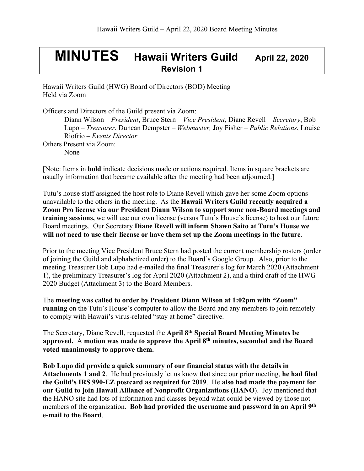## **MINUTES Hawaii Writers Guild April 22, <sup>2020</sup> Revision 1**

Hawaii Writers Guild (HWG) Board of Directors (BOD) Meeting Held via Zoom

Officers and Directors of the Guild present via Zoom:

Diann Wilson – *President*, Bruce Stern – *Vice President*, Diane Revell – *Secretary*, Bob Lupo – *Treasurer*, Duncan Dempster – *Webmaster,* Joy Fisher – *Public Relations*, Louise Riofrio – *Events Director* Others Present via Zoom: None

[Note: Items in **bold** indicate decisions made or actions required. Items in square brackets are usually information that became available after the meeting had been adjourned.]

Tutu's house staff assigned the host role to Diane Revell which gave her some Zoom options unavailable to the others in the meeting. As the **Hawaii Writers Guild recently acquired a Zoom Pro license via our President Diann Wilson to support some non-Board meetings and training sessions,** we will use our own license (versus Tutu's House's license) to host our future Board meetings. Our Secretary **Diane Revell will inform Shawn Saito at Tutu's House we will not need to use their license or have them set up the Zoom meetings in the future**.

Prior to the meeting Vice President Bruce Stern had posted the current membership rosters (order of joining the Guild and alphabetized order) to the Board's Google Group. Also, prior to the meeting Treasurer Bob Lupo had e-mailed the final Treasurer's log for March 2020 (Attachment 1), the preliminary Treasurer's log for April 2020 (Attachment 2), and a third draft of the HWG 2020 Budget (Attachment 3) to the Board Members.

The **meeting was called to order by President Diann Wilson at 1:02pm with "Zoom" running** on the Tutu's House's computer to allow the Board and any members to join remotely to comply with Hawaii's virus-related "stay at home" directive.

The Secretary, Diane Revell, requested the **April 8th Special Board Meeting Minutes be approved.** A **motion was made to approve the April 8th minutes, seconded and the Board voted unanimously to approve them.**

**Bob Lupo did provide a quick summary of our financial status with the details in Attachments 1 and 2**. He had previously let us know that since our prior meeting, **he had filed the Guild's IRS 990-EZ postcard as required for 2019**. He **also had made the payment for our Guild to join Hawaii Alliance of Nonprofit Organizations (HANO**). Joy mentioned that the HANO site had lots of information and classes beyond what could be viewed by those not members of the organization. **Bob had provided the username and password in an April 9th e-mail to the Board**.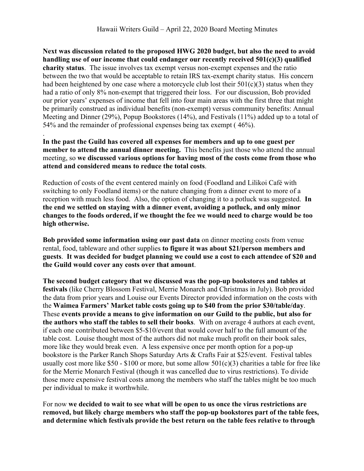**Next was discussion related to the proposed HWG 2020 budget, but also the need to avoid handling use of our income that could endanger our recently received 501(c)(3) qualified charity status**. The issue involves tax exempt versus non-exempt expenses and the ratio between the two that would be acceptable to retain IRS tax-exempt charity status. His concern had been heightened by one case where a motorcycle club lost their  $501(c)(3)$  status when they had a ratio of only 8% non-exempt that triggered their loss. For our discussion, Bob provided our prior years' expenses of income that fell into four main areas with the first three that might be primarily construed as individual benefits (non-exempt) versus community benefits: Annual Meeting and Dinner (29%), Popup Bookstores (14%), and Festivals (11%) added up to a total of 54% and the remainder of professional expenses being tax exempt ( 46%).

**In the past the Guild has covered all expenses for members and up to one guest per member to attend the annual dinner meeting.** This benefits just those who attend the annual meeting, so **we discussed various options for having most of the costs come from those who attend and considered means to reduce the total costs**.

.

Reduction of costs of the event centered mainly on food (Foodland and Lilikoi Café with switching to only Foodland items) or the nature changing from a dinner event to more of a reception with much less food. Also, the option of changing it to a potluck was suggested. **In the end we settled on staying with a dinner event, avoiding a potluck, and only minor changes to the foods ordered, if we thought the fee we would need to charge would be too high otherwise.**

**Bob provided some information using our past data** on dinner meeting costs from venue rental, food, tableware and other supplies **to figure it was about \$21/person members and guests**. **It was decided for budget planning we could use a cost to each attendee of \$20 and the Guild would cover any costs over that amount**.

**The second budget category that we discussed was the pop-up bookstores and tables at festivals** (like Cherry Blossom Festival, Merrie Monarch and Christmas in July). Bob provided the data from prior years and Louise our Events Director provided information on the costs with the **Waimea Farmers' Market table costs going up to \$40 from the prior \$30/table/day**. These **events provide a means to give information on our Guild to the public, but also for the authors who staff the tables to sell their books**. With on average 4 authors at each event, if each one contributed between \$5-\$10/event that would cover half to the full amount of the table cost. Louise thought most of the authors did not make much profit on their book sales, more like they would break even. A less expensive once per month option for a pop-up bookstore is the Parker Ranch Shops Saturday Arts & Crafts Fair at \$25/event. Festival tables usually cost more like  $$50 - $100$  or more, but some allow  $501(c)(3)$  charities a table for free like for the Merrie Monarch Festival (though it was cancelled due to virus restrictions). To divide those more expensive festival costs among the members who staff the tables might be too much per individual to make it worthwhile.

For now **we decided to wait to see what will be open to us once the virus restrictions are removed, but likely charge members who staff the pop-up bookstores part of the table fees, and determine which festivals provide the best return on the table fees relative to through**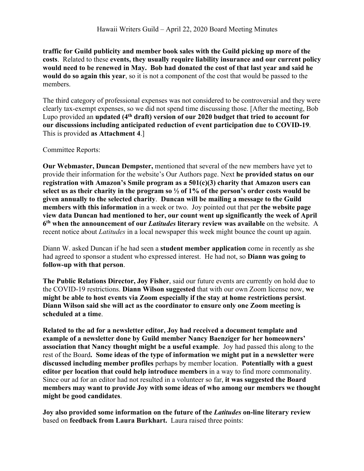**traffic for Guild publicity and member book sales with the Guild picking up more of the costs**. Related to these **events, they usually require liability insurance and our current policy would need to be renewed in May. Bob had donated the cost of that last year and said he would do so again this year**, so it is not a component of the cost that would be passed to the members.

The third category of professional expenses was not considered to be controversial and they were clearly tax-exempt expenses, so we did not spend time discussing those. [After the meeting, Bob Lupo provided an **updated (4th draft) version of our 2020 budget that tried to account for our discussions including anticipated reduction of event participation due to COVID-19**. This is provided **as Attachment 4**.]

Committee Reports:

**Our Webmaster, Duncan Dempster,** mentioned that several of the new members have yet to provide their information for the website's Our Authors page. Next **he provided status on our registration with Amazon's Smile program as a 501(c)(3) charity that Amazon users can select us as their charity in the program so ½ of 1% of the person's order costs would be given annually to the selected charity**. **Duncan will be mailing a message to the Guild members with this information** in a week or two. Joy pointed out that per **the website page view data Duncan had mentioned to her, our count went up significantly the week of April 6th when the announcement of our** *Latitudes* **literary review was available** on the website. A recent notice about *Latitudes* in a local newspaper this week might bounce the count up again.

Diann W. asked Duncan if he had seen a **student member application** come in recently as she had agreed to sponsor a student who expressed interest. He had not, so **Diann was going to follow-up with that person**.

**The Public Relations Director, Joy Fisher**, said our future events are currently on hold due to the COVID-19 restrictions. **Diann Wilson suggested** that with our own Zoom license now, **we might be able to host events via Zoom especially if the stay at home restrictions persist**. **Diann Wilson said she will act as the coordinator to ensure only one Zoom meeting is scheduled at a time**.

**Related to the ad for a newsletter editor, Joy had received a document template and example of a newsletter done by Guild member Nancy Baenziger for her homeowners' association that Nancy thought might be a useful example**. Joy had passed this along to the rest of the Board**. Some ideas of the type of information we might put in a newsletter were discussed including member profiles** perhaps by member location. **Potentially with a guest editor per location that could help introduce members** in a way to find more commonality. Since our ad for an editor had not resulted in a volunteer so far, **it was suggested the Board members may want to provide Joy with some ideas of who among our members we thought might be good candidates**.

**Joy also provided some information on the future of the** *Latitudes* **on-line literary review** based on **feedback from Laura Burkhart.** Laura raised three points: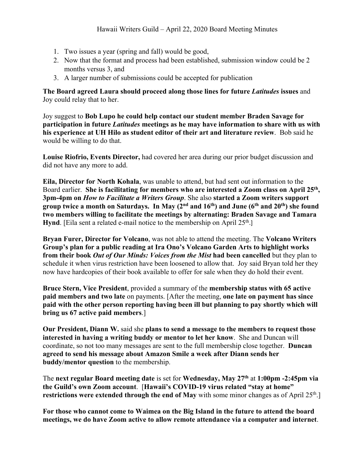- 1. Two issues a year (spring and fall) would be good,
- 2. Now that the format and process had been established, submission window could be 2 months versus 3, and
- 3. A larger number of submissions could be accepted for publication

**The Board agreed Laura should proceed along those lines for future** *Latitudes* **issues** and Joy could relay that to her.

Joy suggest to **Bob Lupo he could help contact our student member Braden Savage for participation in future** *Latitudes* **meetings as he may have information to share with us with his experience at UH Hilo as student editor of their art and literature review**. Bob said he would be willing to do that.

**Louise Riofrio, Events Director,** had covered her area during our prior budget discussion and did not have any more to add.

**Eila, Director for North Kohala**, was unable to attend, but had sent out information to the Board earlier. **She is facilitating for members who are interested a Zoom class on April 25th, 3pm-4pm on** *How to Facilitate a Writers Group*. She also **started a Zoom writers support group twice a month on Saturdays. In May (2nd and 16th) and June (6th and 20th) she found two members willing to facilitate the meetings by alternating: Braden Savage and Tamara Hynd**. [Eila sent a related e-mail notice to the membership on April 25<sup>th</sup>.]

**Bryan Furer, Director for Volcano**, was not able to attend the meeting. The **Volcano Writers Group's plan for a public reading at Ira Ono's Volcano Garden Arts to highlight works from their book** *Out of Our Minds: Voices from the Mist* **had been cancelled** but they plan to schedule it when virus restriction have been loosened to allow that. Joy said Bryan told her they now have hardcopies of their book available to offer for sale when they do hold their event.

**Bruce Stern, Vice President**, provided a summary of the **membership status with 65 active paid members and two late** on payments. [After the meeting, **one late on payment has since paid with the other person reporting having been ill but planning to pay shortly which will bring us 67 active paid members**.]

**Our President, Diann W.** said she **plans to send a message to the members to request those interested in having a writing buddy or mentor to let her know**. She and Duncan will coordinate, so not too many messages are sent to the full membership close together. **Duncan agreed to send his message about Amazon Smile a week after Diann sends her buddy/mentor question** to the membership.

The **next regular Board meeting date** is set for **Wednesday, May 27th** at **1:00pm -2:45pm via the Guild's own Zoom account**. [**Hawaii's COVID-19 virus related "stay at home" restrictions were extended through the end of May** with some minor changes as of April 25<sup>th</sup>.]

**For those who cannot come to Waimea on the Big Island in the future to attend the board meetings, we do have Zoom active to allow remote attendance via a computer and internet**.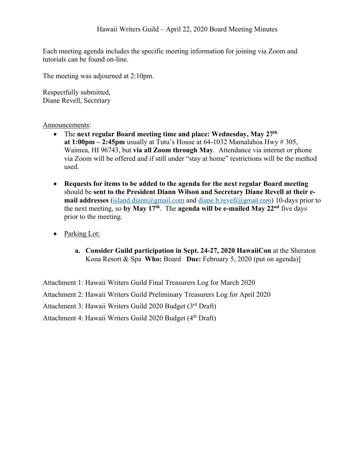Each meeting agenda includes the specific meeting information for joining via Zoom and tutorials can be found on-line.

The meeting was adjourned at 2:10pm.

Respectfully submitted, Diane Revell, Secretary

## Announcements:

- The **next regular Board meeting time and place: Wednesday, May 27th at 1:00pm – 2:45pm** usually at Tutu's House at 64-1032 Mamalahoa Hwy # 305, Waimea, HI 96743, but **via all Zoom through May**. Attendance via internet or phone via Zoom will be offered and if still under "stay at home" restrictions will be the method used.
- **Requests for items to be added to the agenda for the next regular Board meeting** should be **sent to the President Diann Wilson and Secretary Diane Revell at their email addresses** (island.diann@gmail.com and diane.b.revell@gmail.com) 10-days prior to the next meeting, so **by May 17th**. The **agenda will be e-mailed May 22nd** five days prior to the meeting.
- Parking Lot:
	- **a. Consider Guild participation in Sept. 24-27, 2020 HawaiiCon** at the Sheraton Kona Resort & Spa **Who:** Board **Due:** February 5, 2020 (put on agenda)]

Attachment 1: Hawaii Writers Guild Final Treasurers Log for March 2020

Attachment 2: Hawaii Writers Guild Preliminary Treasurers Log for April 2020

Attachment 3: Hawaii Writers Guild 2020 Budget (3rd Draft)

Attachment 4: Hawaii Writers Guild 2020 Budget (4<sup>th</sup> Draft)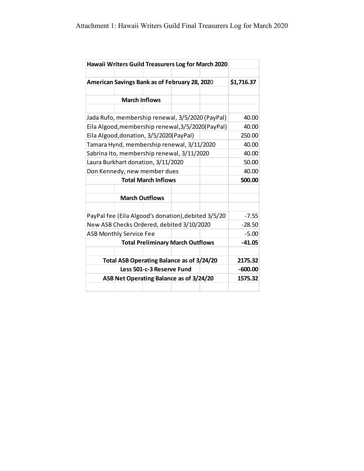| Hawaii Writers Guild Treasurers Log for March 2020 |                                                     |  |  |  |            |  |  |
|----------------------------------------------------|-----------------------------------------------------|--|--|--|------------|--|--|
|                                                    |                                                     |  |  |  |            |  |  |
|                                                    | American Savings Bank as of February 28, 2020       |  |  |  | \$1,716.37 |  |  |
|                                                    |                                                     |  |  |  |            |  |  |
|                                                    | <b>March Inflows</b>                                |  |  |  |            |  |  |
|                                                    |                                                     |  |  |  | 40.00      |  |  |
|                                                    | Jada Rufo, membership renewal, 3/5/2020 (PayPal)    |  |  |  |            |  |  |
| Eila Algood, membership renewal, 3/5/2020(PayPal)  | 40.00<br>250.00                                     |  |  |  |            |  |  |
|                                                    | Eila Algood, donation, 3/5/2020(PayPal)             |  |  |  |            |  |  |
| Tamara Hynd, membership renewal, 3/11/2020         | 40.00                                               |  |  |  |            |  |  |
| Sabrina Ito, membership renewal, 3/11/2020         | 40.00                                               |  |  |  |            |  |  |
| Laura Burkhart donation, 3/11/2020                 | 50.00                                               |  |  |  |            |  |  |
|                                                    | Don Kennedy, new member dues                        |  |  |  | 40.00      |  |  |
|                                                    | <b>Total March Inflows</b>                          |  |  |  |            |  |  |
|                                                    |                                                     |  |  |  |            |  |  |
|                                                    | <b>March Outflows</b>                               |  |  |  |            |  |  |
|                                                    | PayPal fee (Eila Algood's donation), debited 3/5/20 |  |  |  |            |  |  |
| New ASB Checks Ordered, debited 3/10/2020          | $-28.50$                                            |  |  |  |            |  |  |
| <b>ASB Monthly Service Fee</b>                     | $-5.00$                                             |  |  |  |            |  |  |
|                                                    | $-41.05$                                            |  |  |  |            |  |  |
|                                                    |                                                     |  |  |  |            |  |  |
| Total ASB Operating Balance as of 3/24/20          | 2175.32                                             |  |  |  |            |  |  |
|                                                    | $-600.00$                                           |  |  |  |            |  |  |
| ASB Net Operating Balance as of 3/24/20            | 1575.32                                             |  |  |  |            |  |  |
|                                                    |                                                     |  |  |  |            |  |  |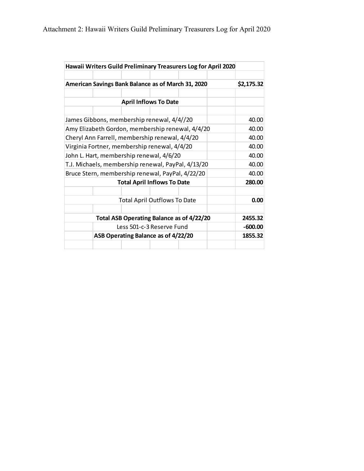| Hawaii Writers Guild Preliminary Treasurers Log for April 2020 |                                     |                              |  |            |  |  |
|----------------------------------------------------------------|-------------------------------------|------------------------------|--|------------|--|--|
| American Savings Bank Balance as of March 31, 2020             |                                     |                              |  | \$2,175.32 |  |  |
|                                                                |                                     |                              |  |            |  |  |
|                                                                |                                     | <b>April Inflows To Date</b> |  |            |  |  |
|                                                                |                                     |                              |  |            |  |  |
| James Gibbons, membership renewal, 4/4//20                     |                                     |                              |  | 40.00      |  |  |
| Amy Elizabeth Gordon, membership renewal, 4/4/20               | 40.00                               |                              |  |            |  |  |
| Cheryl Ann Farrell, membership renewal, 4/4/20                 | 40.00                               |                              |  |            |  |  |
| Virginia Fortner, membership renewal, 4/4/20                   | 40.00                               |                              |  |            |  |  |
| John L. Hart, membership renewal, 4/6/20                       | 40.00                               |                              |  |            |  |  |
| T.J. Michaels, membership renewal, PayPal, 4/13/20             | 40.00                               |                              |  |            |  |  |
| Bruce Stern, membership renewal, PayPal, 4/22/20               |                                     |                              |  | 40.00      |  |  |
| <b>Total April Inflows To Date</b>                             | 280.00                              |                              |  |            |  |  |
|                                                                |                                     |                              |  |            |  |  |
| <b>Total April Outflows To Date</b>                            | 0.00                                |                              |  |            |  |  |
|                                                                |                                     |                              |  |            |  |  |
| Total ASB Operating Balance as of 4/22/20                      | 2455.32                             |                              |  |            |  |  |
| Less 501-c-3 Reserve Fund                                      | $-600.00$                           |                              |  |            |  |  |
|                                                                | ASB Operating Balance as of 4/22/20 |                              |  |            |  |  |
|                                                                |                                     |                              |  |            |  |  |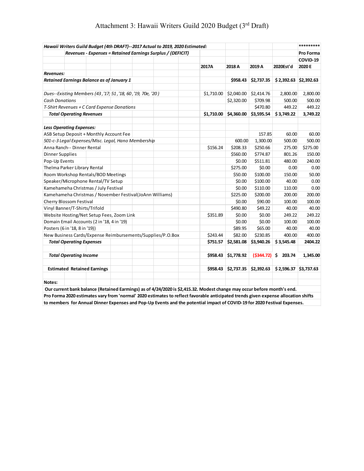| Hawaii Writers Guild Budget (4th DRAFT)--2017 Actual to 2019, 2020 Estimated:                                           |                                                             |          |            |                         |                         |                                                 | ********* |
|-------------------------------------------------------------------------------------------------------------------------|-------------------------------------------------------------|----------|------------|-------------------------|-------------------------|-------------------------------------------------|-----------|
|                                                                                                                         | Revenues - Expenses = Retained Earnings Surplus / (DEFICIT) |          |            |                         |                         |                                                 | Pro Forma |
|                                                                                                                         |                                                             |          |            |                         |                         |                                                 | COVID-19  |
|                                                                                                                         |                                                             |          | 2017A      | 2018 A                  | 2019 A                  | 2020Est'd                                       | 2020 E    |
| Revenues:                                                                                                               |                                                             |          |            |                         |                         |                                                 |           |
| Retained Earnings Balance as of January 1                                                                               |                                                             |          |            | \$958.43                | \$2,737.35              | $$2,392.63$ $$2,392.63$                         |           |
| Dues--Existing Members (43, '17; 51, '18, 60, '19, 70e, '20)                                                            |                                                             |          | \$1,710.00 | $$2,040.00$ $$2,414.76$ |                         | 2,800.00                                        | 2,800.00  |
| <b>Cash Donations</b>                                                                                                   |                                                             |          |            | \$2,320.00              | \$709.98                | 500.00                                          | 500.00    |
| T-Shirt Revenues + C Card Expense Donations                                                                             |                                                             |          |            | \$470.80                | 449.22                  | 449.22                                          |           |
| <b>Total Operating Revenues</b>                                                                                         |                                                             |          | \$1,710.00 |                         | $$4,360.00$ $$3,595.54$ | \$3,749.22                                      | 3,749.22  |
| <b>Less Operating Expenses:</b>                                                                                         |                                                             |          |            |                         |                         |                                                 |           |
| ASB Setup Deposit + Monthly Account Fee                                                                                 |                                                             |          |            |                         | 157.85                  | 60.00                                           | 60.00     |
| 501-c-3 Legal Expenses/Misc. Legal, Hano Membership                                                                     |                                                             |          |            | 600.00                  | 1,300.00                | 500.00                                          | 500.00    |
| Anna Ranch-- Dinner Rental                                                                                              |                                                             |          | \$156.24   | \$208.33                | \$250.66                | 275.00                                          | \$275.00  |
| <b>Dinner Supplies</b>                                                                                                  |                                                             |          |            | \$560.00                | \$774.87                | 801.26                                          | 150.00    |
| Pop-Up Events                                                                                                           |                                                             |          |            | \$0.00                  | \$511.81                | 480.00                                          | 240.00    |
| Thelma Parker Library Rental                                                                                            |                                                             |          |            | \$275.00                | \$0.00                  | 0.00                                            | 0.00      |
| Room Workshop Rentals/BOD Meetings                                                                                      |                                                             |          |            | \$50.00                 | \$100.00                | 150.00                                          | 50.00     |
| Speaker/Microphone Rental/TV Setup                                                                                      |                                                             |          |            | \$0.00                  | \$100.00                | 40.00                                           | 0.00      |
| Kamehameha Christmas / July Festival                                                                                    |                                                             |          |            | \$0.00                  | \$110.00                | 110.00                                          | 0.00      |
| Kamehameha Christmas / November Festival(JoAnn Williams)                                                                |                                                             |          |            | \$225.00                | \$200.00                | 200.00                                          | 200.00    |
| Cherry Blossom Festival                                                                                                 |                                                             |          |            | \$0.00                  | \$90.00                 | 100.00                                          | 100.00    |
| Vinyl Banner/T-Shirts/Trifold                                                                                           |                                                             |          |            | \$490.80                | \$49.22                 | 40.00                                           | 40.00     |
| Website Hosting/Net Setup Fees, Zoom Link                                                                               |                                                             |          | \$351.89   | \$0.00                  | \$0.00                  | 249.22                                          | 249.22    |
| Domain Email Accounts (2 in '18, 4 in '19)                                                                              |                                                             |          |            | \$0.00                  | \$0.00                  | 100.00                                          | 100.00    |
| Posters (6 in '18, 8 in '19))                                                                                           |                                                             |          |            | \$89.95                 | \$65.00                 | 40.00                                           | 40.00     |
| New Business Cards/Expense Reimbursements/Supplies/P.O.Box                                                              |                                                             | \$243.44 | \$82.00    | \$230.85                | 400.00                  | 400.00                                          |           |
| <b>Total Operating Expenses</b>                                                                                         |                                                             |          | \$751.57   | \$2,581.08              | \$3,940.26              | \$3,545.48                                      | 2404.22   |
| <b>Total Operating Income</b>                                                                                           |                                                             |          | \$958.43   | \$1,778.92              | (5344.72)               | $5$ 203.74                                      | 1,345.00  |
| <b>Estimated Retained Earnings</b>                                                                                      |                                                             |          | \$958.43   |                         |                         | $$2,737.35$ $$2,392.63$ $$2,596.37$ $$3,737.63$ |           |
|                                                                                                                         |                                                             |          |            |                         |                         |                                                 |           |
| Notes:                                                                                                                  |                                                             |          |            |                         |                         |                                                 |           |
| Our current bank balance (Retained Earmings) as of 4/24/2020 is \$2,415.32. Modest change may occur before month's end. |                                                             |          |            |                         |                         |                                                 |           |

## Attachment 3: Hawaii Writers Guild 2020 Budget (3rd Draft)

**Pro Forma 2020 estimates vary from 'normal' 2020 estimates to reflect favorable anticipated trends given expense allocation shifts to members for Annual Dinner Expenses and Pop-Up Events and the potential impact of COVID-19 for 2020 Festival Expenses.**